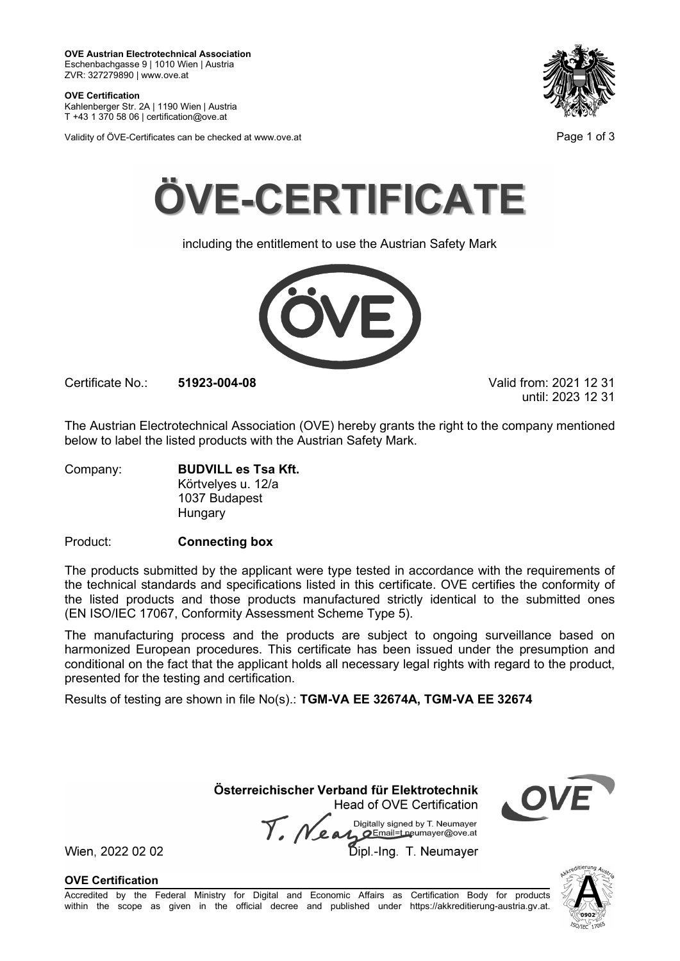**OVE Certification**<br>Kahlenberger Str. 2A | 1190 Wien | Austria T +43 1 370 58 06 | certification@ove.at





including the entitlement to use the Austrian Safety Mark



Certificate No.: 51923-004-08 Valid from: 2021 12 31

until: 2023 12 31

The Austrian Electrotechnical Association (OVE) hereby grants the right to the company mentioned below to label the listed products with the Austrian Safety Mark.

Company: BUDVILL es Tsa Kft. Körtvelyes u. 12/a 1037 Budapest **Hungary** 

Product: Connecting box

The products submitted by the applicant were type tested in accordance with the requirements of the technical standards and specifications listed in this certificate. OVE certifies the conformity of the listed products and those products manufactured strictly identical to the submitted ones

(EN ISO/IEC 17067, Conformity Assessment Scheme Type 5).<br>The manufacturing procedures and the products are subject to ongoing surveillance based on<br>harmonized European procedures. This certificate has been issued under the Certificate No.: 51923-004-08<br>
Valid from: 2021 12 31<br>
The Austrian Electrotechnical Association (OVE) hereby grants the right to the company mentioned<br>
below to label the listed products with the Austrian Safety Mark.<br>
Co The manufacturing process and the products are subject to ongoing surveillance based on harmonized European procedures. This certificate has been issued under the presumption and conditional on the fact that the applicant holds all necessary legal rights with regard to the product, presented for the testing and certification. Budapest<br>
Sudapest<br>
Ty<br>
Ty<br>
The applicant were type tested in accordance with the requirements of<br>
d specifications listed in this certificate. OVE certifies the conformity<br>
of those products manufactured strictly identic The products submitted by the applicant were type tested in accordance with the requirements of<br>the listed products and specifications listed in this certificate. OVE certifies the conformity of<br>ten listed products and th

Results of testing are shown in file No(s).: TGM-VA EE 32674A, TGM-VA EE 32674

Head of OVE Certification

OVE Certification



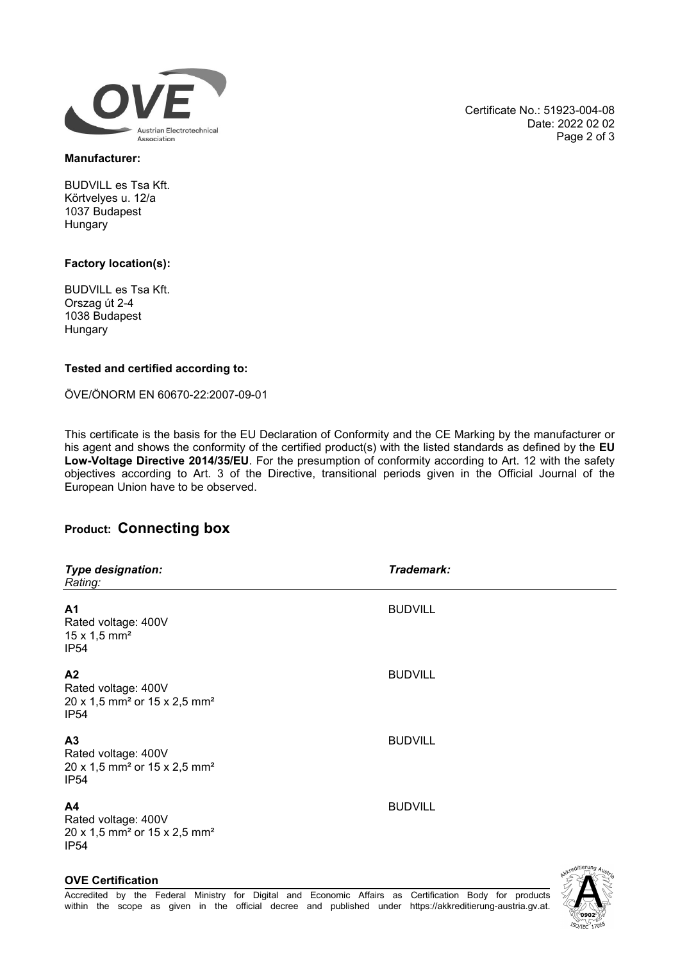

Certificate No.: 51923-004-08 Date: 2022 02 02 Page 2 of 3

#### Manufacturer:

BUDVILL es Tsa Kft. Körtvelyes u. 12/a 1037 Budapest **Hungary** 

## Factory location(s):

BUDVILL es Tsa Kft. Orszag út 2-4 1038 Budapest Hungary

## Tested and certified according to:

ÖVE/ÖNORM EN 60670-22:2007-09-01

This certificate is the basis for the EU Declaration of Conformity and the CE Marking by the manufacturer or his agent and shows the conformity of the certified product(s) with the listed standards as defined by the EU Low-Voltage Directive 2014/35/EU. For the presumption of conformity according to Art. 12 with the safety objectives according to Art. 3 of the Directive, transitional periods given in the Official Journal of the European Union have to be observed.

# Product: Connecting box

| <b>Type designation:</b><br>Rating:                                                                               | Trademark:     |
|-------------------------------------------------------------------------------------------------------------------|----------------|
| A1<br>Rated voltage: 400V<br>$15 \times 1,5 \text{ mm}^2$<br><b>IP54</b>                                          | <b>BUDVILL</b> |
| A2<br>Rated voltage: 400V<br>20 x 1,5 mm <sup>2</sup> or 15 x 2,5 mm <sup>2</sup><br><b>IP54</b>                  | <b>BUDVILL</b> |
| A <sub>3</sub><br>Rated voltage: 400V<br>20 x 1,5 mm <sup>2</sup> or 15 x 2,5 mm <sup>2</sup><br>IP <sub>54</sub> | <b>BUDVILL</b> |
| A4<br>Rated voltage: 400V<br>20 x 1,5 mm <sup>2</sup> or 15 x 2,5 mm <sup>2</sup><br><b>IP54</b>                  | <b>BUDVILL</b> |

## OVE Certification